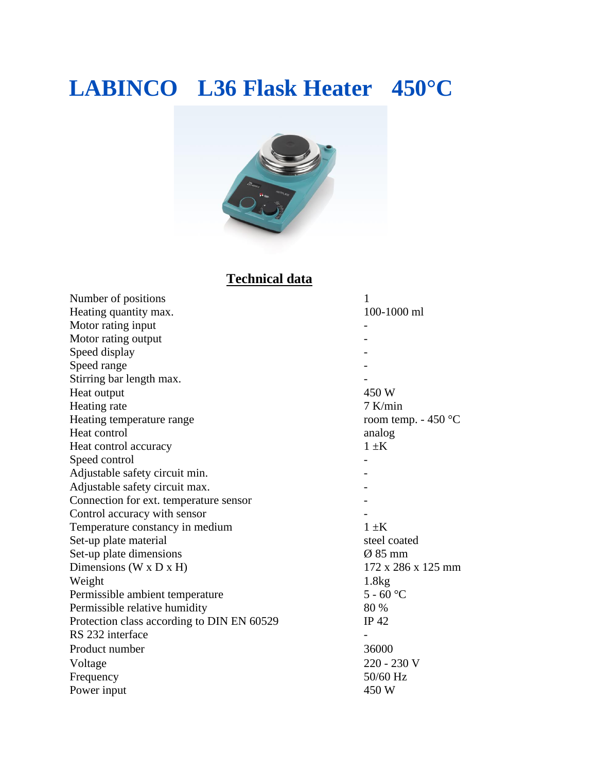# **LABINCO L36 Flask Heater 450°C**



### **Technical data**

| Number of positions                        | 1                    |
|--------------------------------------------|----------------------|
| Heating quantity max.                      | 100-1000 ml          |
| Motor rating input                         |                      |
| Motor rating output                        |                      |
| Speed display                              |                      |
| Speed range                                |                      |
| Stirring bar length max.                   |                      |
| Heat output                                | 450 W                |
| Heating rate                               | $7$ K/min            |
| Heating temperature range                  | room temp. $-450$ °C |
| Heat control                               | analog               |
| Heat control accuracy                      | $1 \pm K$            |
| Speed control                              |                      |
| Adjustable safety circuit min.             |                      |
| Adjustable safety circuit max.             |                      |
| Connection for ext. temperature sensor     |                      |
| Control accuracy with sensor               |                      |
| Temperature constancy in medium            | $1 \pm K$            |
| Set-up plate material                      | steel coated         |
| Set-up plate dimensions                    | $\varnothing$ 85 mm  |
| Dimensions (W x D x H)                     | 172 x 286 x 125 mm   |
| Weight                                     | 1.8kg                |
| Permissible ambient temperature            | $5 - 60$ °C          |
| Permissible relative humidity              | 80 %                 |
| Protection class according to DIN EN 60529 | IP $42$              |
| RS 232 interface                           |                      |
| Product number                             | 36000                |
| Voltage                                    | 220 - 230 V          |
| Frequency                                  | 50/60 Hz             |
| Power input                                | 450 W                |
|                                            |                      |